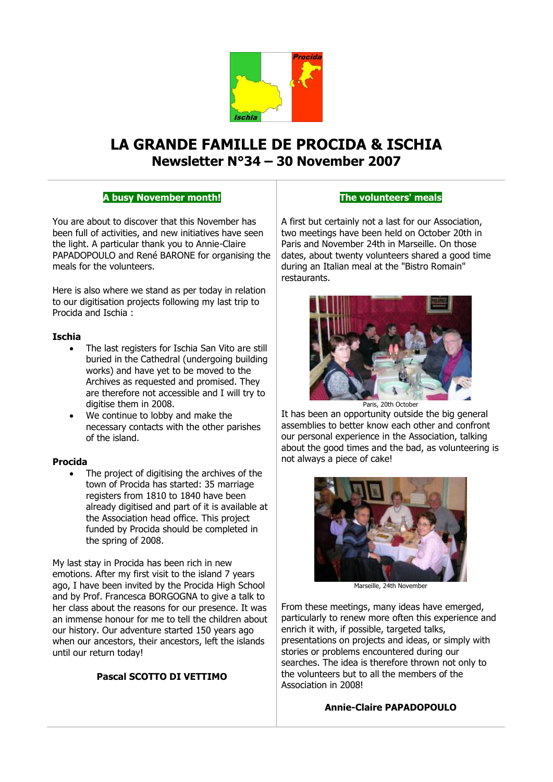

# **LA GRANDE FAMILLE DE PROCIDA & ISCHIA Newsletter N°34 – 30 November 2007**

# **A busy November month!**

You are about to discover that this November has been full of activities, and new initiatives have seen the light. A particular thank you to Annie-Claire PAPADOPOULO and René BARONE for organising the meals for the volunteers.

Here is also where we stand as per today in relation to our digitisation projects following my last trip to Procida and Ischia :

#### **Ischia**

- The last registers for Ischia San Vito are still buried in the Cathedral (undergoing building works) and have yet to be moved to the Archives as requested and promised. They are therefore not accessible and I will try to digitise them in 2008.
- We continue to lobby and make the necessary contacts with the other parishes of the island.

#### **Procida**

 The project of digitising the archives of the town of Procida has started: 35 marriage registers from 1810 to 1840 have been already digitised and part of it is available at the Association head office. This project funded by Procida should be completed in the spring of 2008.

My last stay in Procida has been rich in new emotions. After my first visit to the island 7 years ago, I have been invited by the Procida High School and by Prof. Francesca BORGOGNA to give a talk to her class about the reasons for our presence. It was an immense honour for me to tell the children about our history. Our adventure started 150 years ago when our ancestors, their ancestors, left the islands until our return today!

#### **Pascal SCOTTO DI VETTIMO**

#### **The volunteers' meals**

A first but certainly not a last for our Association, two meetings have been held on October 20th in Paris and November 24th in Marseille. On those dates, about twenty volunteers shared a good time during an Italian meal at the "Bistro Romain" restaurants.



It has been an opportunity outside the big general assemblies to better know each other and confront our personal experience in the Association, talking about the good times and the bad, as volunteering is not always a piece of cake!



Marseille, 24th November

From these meetings, many ideas have emerged, particularly to renew more often this experience and enrich it with, if possible, targeted talks, presentations on projects and ideas, or simply with stories or problems encountered during our searches. The idea is therefore thrown not only to the volunteers but to all the members of the Association in 2008!

# **Annie-Claire PAPADOPOULO**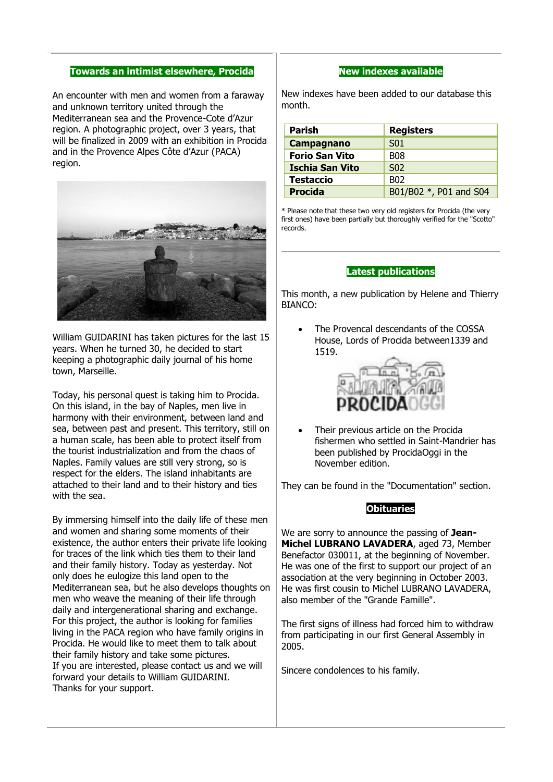#### **Towards an intimist elsewhere, Procida**

An encounter with men and women from a faraway and unknown territory united through the Mediterranean sea and the Provence-Cote d'Azur region. A photographic project, over 3 years, that will be finalized in 2009 with an exhibition in Procida and in the Provence Alpes Côte d'Azur (PACA) region.



William GUIDARINI has taken pictures for the last 15 years. When he turned 30, he decided to start keeping a photographic daily journal of his home town, Marseille.

Today, his personal quest is taking him to Procida. On this island, in the bay of Naples, men live in harmony with their environment, between land and sea, between past and present. This territory, still on a human scale, has been able to protect itself from the tourist industrialization and from the chaos of Naples. Family values are still very strong, so is respect for the elders. The island inhabitants are attached to their land and to their history and ties with the sea.

By immersing himself into the daily life of these men and women and sharing some moments of their existence, the author enters their private life looking for traces of the link which ties them to their land and their family history. Today as yesterday. Not only does he eulogize this land open to the Mediterranean sea, but he also develops thoughts on men who weave the meaning of their life through daily and intergenerational sharing and exchange. For this project, the author is looking for families living in the PACA region who have family origins in Procida. He would like to meet them to talk about their family history and take some pictures. If you are interested, please contact us and we will forward your details to William GUIDARINI. Thanks for your support.

#### **New indexes available**

New indexes have been added to our database this month.

| Parish                 | <b>Registers</b>       |
|------------------------|------------------------|
| Campagnano             | S <sub>01</sub>        |
| <b>Forio San Vito</b>  | <b>B08</b>             |
| <b>Ischia San Vito</b> | S <sub>02</sub>        |
| <b>Testaccio</b>       | B <sub>02</sub>        |
| <b>Procida</b>         | B01/B02 *, P01 and S04 |

\* Please note that these two very old registers for Procida (the very first ones) have been partially but thoroughly verified for the "Scotto" records.

#### **Latest publications**

This month, a new publication by Helene and Thierry BIANCO:

• The Provencal descendants of the COSSA House, Lords of Procida between1339 and 1519.



 Their previous article on the Procida fishermen who settled in Saint-Mandrier has been published by ProcidaOggi in the November edition.

They can be found in the "Documentation" section.

#### **Obituaries**

We are sorry to announce the passing of **Jean-Michel LUBRANO LAVADERA**, aged 73, Member Benefactor 030011, at the beginning of November. He was one of the first to support our project of an association at the very beginning in October 2003. He was first cousin to Michel LUBRANO LAVADERA, also member of the "Grande Famille".

The first signs of illness had forced him to withdraw from participating in our first General Assembly in 2005.

Sincere condolences to his family.